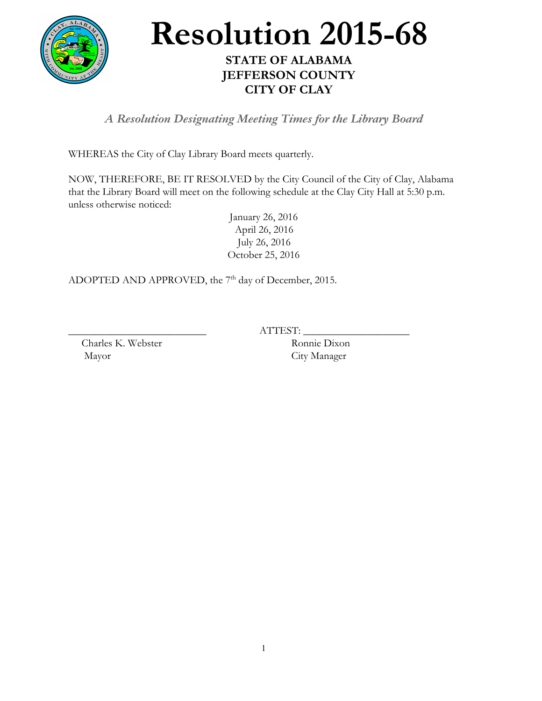

## **Resolution 2015-68**

## **STATE OF ALABAMA JEFFERSON COUNTY CITY OF CLAY**

*A Resolution Designating Meeting Times for the Library Board*

WHEREAS the City of Clay Library Board meets quarterly.

NOW, THEREFORE, BE IT RESOLVED by the City Council of the City of Clay, Alabama that the Library Board will meet on the following schedule at the Clay City Hall at 5:30 p.m. unless otherwise noticed:

January 26, 2016 April 26, 2016 July 26, 2016 October 25, 2016

ADOPTED AND APPROVED, the  $7<sup>th</sup>$  day of December, 2015.

\_\_\_\_\_\_\_\_\_\_\_\_\_\_\_\_\_\_\_\_\_\_\_\_\_\_ ATTEST: \_\_\_\_\_\_\_\_\_\_\_\_\_\_\_\_\_\_\_\_

Charles K. Webster Ronnie Dixon Mayor City Manager